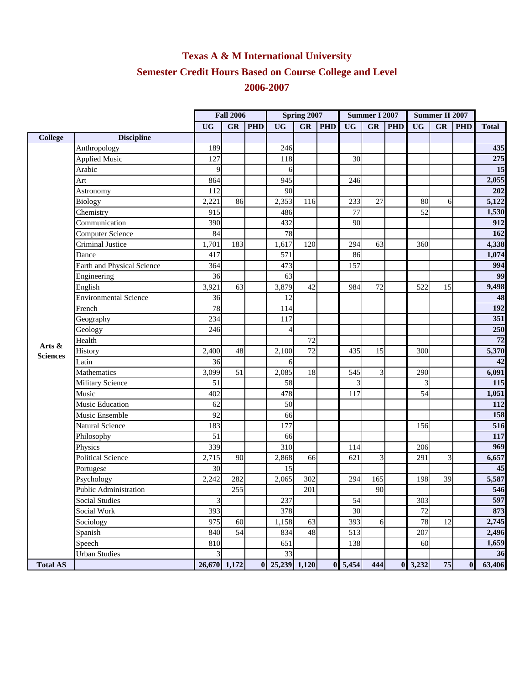## **Texas A & M International University Semester Credit Hours Based on Course College and Level 2006-2007**

|                 |                              | <b>Fall 2006</b>            |     |            | Spring 2007    |                        |            | <b>Summer I 2007</b> |           |            | Summer II 2007  |           |            |                 |
|-----------------|------------------------------|-----------------------------|-----|------------|----------------|------------------------|------------|----------------------|-----------|------------|-----------------|-----------|------------|-----------------|
|                 |                              | <b>UG</b>                   | GR  | <b>PHD</b> | <b>UG</b>      | $\overline{\text{GR}}$ | <b>PHD</b> | <b>UG</b>            | <b>GR</b> | <b>PHD</b> | <b>UG</b>       | <b>GR</b> | <b>PHD</b> | <b>Total</b>    |
| <b>College</b>  | <b>Discipline</b>            |                             |     |            |                |                        |            |                      |           |            |                 |           |            |                 |
|                 | Anthropology                 | 189                         |     |            | 246            |                        |            |                      |           |            |                 |           |            | 435             |
|                 | <b>Applied Music</b>         | 127                         |     |            | 118            |                        |            | 30                   |           |            |                 |           |            | 275             |
|                 | Arabic                       | 9                           |     |            | 6              |                        |            |                      |           |            |                 |           |            | 15              |
|                 | Art                          | 864                         |     |            | 945            |                        |            | 246                  |           |            |                 |           |            | 2,055           |
|                 | Astronomy                    | 112                         |     |            | 90             |                        |            |                      |           |            |                 |           |            | 202             |
|                 | <b>Biology</b>               | 2,221                       | 86  |            | 2,353          | 116                    |            | 233                  | 27        |            | 80              | 6         |            | 5,122           |
|                 | Chemistry                    | 915                         |     |            | 486            |                        |            | 77                   |           |            | 52              |           |            | 1,530           |
|                 | Communication                | 390                         |     |            | 432            |                        |            | 90                   |           |            |                 |           |            | 912             |
|                 | <b>Computer Science</b>      | 84                          |     |            | 78             |                        |            |                      |           |            |                 |           |            | 162             |
|                 | Criminal Justice             | 1,701                       | 183 |            | 1,617          | 120                    |            | 294                  | 63        |            | 360             |           |            | 4,338           |
|                 | Dance                        | 417                         |     |            | 571            |                        |            | 86                   |           |            |                 |           |            | 1,074           |
|                 | Earth and Physical Science   | 364                         |     |            | 473            |                        |            | 157                  |           |            |                 |           |            | 994             |
|                 | Engineering                  | 36                          |     |            | 63             |                        |            |                      |           |            |                 |           |            | 99              |
|                 | English                      | 3,921                       | 63  |            | 3,879          | 42                     |            | 984                  | 72        |            | 522             | 15        |            | 9,498           |
|                 | <b>Environmental Science</b> | 36                          |     |            | 12             |                        |            |                      |           |            |                 |           |            | 48              |
|                 | French                       | 78                          |     |            | 114            |                        |            |                      |           |            |                 |           |            | 192             |
|                 | Geography                    | 234                         |     |            | 117            |                        |            |                      |           |            |                 |           |            | 351             |
|                 | Geology                      | 246                         |     |            | $\overline{4}$ |                        |            |                      |           |            |                 |           |            | 250             |
| Arts &          | Health                       |                             |     |            |                | 72                     |            |                      |           |            |                 |           |            | $\overline{72}$ |
| <b>Sciences</b> | History                      | 2,400                       | 48  |            | 2,100          | 72                     |            | 435                  | 15        |            | 300             |           |            | 5,370           |
|                 | Latin                        | 36                          |     |            | 6              |                        |            |                      |           |            |                 |           |            | 42              |
|                 | Mathematics                  | 3,099                       | 51  |            | 2,085          | 18                     |            | 545                  | 3         |            | 290             |           |            | 6,091           |
|                 | <b>Military Science</b>      | 51                          |     |            | 58             |                        |            | 3                    |           |            | 3               |           |            | 115             |
|                 | Music                        | 402                         |     |            | 478            |                        |            | 117                  |           |            | 54              |           |            | 1,051           |
|                 | <b>Music Education</b>       | 62                          |     |            | 50             |                        |            |                      |           |            |                 |           |            | 112             |
|                 | Music Ensemble               | 92                          |     |            | 66             |                        |            |                      |           |            |                 |           |            | 158             |
|                 | <b>Natural Science</b>       | 183                         |     |            | 177            |                        |            |                      |           |            | 156             |           |            | 516             |
|                 | Philosophy                   | 51                          |     |            | 66             |                        |            |                      |           |            |                 |           |            | 117             |
|                 | Physics                      | 339                         |     |            | 310            |                        |            | 114                  |           |            | 206             |           |            | 969             |
|                 | <b>Political Science</b>     | 2,715                       | 90  |            | 2,868          | 66                     |            | 621                  | 3         |            | 291             | 3         |            | 6,657           |
|                 | Portugese                    | 30                          |     |            | 15             |                        |            |                      |           |            |                 |           |            | 45              |
|                 | Psychology                   | 2,242                       | 282 |            | 2,065          | 302                    |            | 294                  | 165       |            | 198             | 39        |            | 5,587           |
|                 | <b>Public Administration</b> |                             | 255 |            |                | 201                    |            |                      | 90        |            |                 |           |            | 546             |
|                 | <b>Social Studies</b>        | $\ensuremath{\mathfrak{Z}}$ |     |            | 237            |                        |            | 54                   |           |            | 303             |           |            | 597             |
|                 | Social Work                  | 393                         |     |            | 378            |                        |            | 30                   |           |            | 72              |           |            | 873             |
|                 | Sociology                    | 975                         | 60  |            | 1,158          | 63                     |            | 393                  | 6         |            | 78              | 12        |            | 2,745           |
|                 | Spanish                      | 840                         | 54  |            | 834            | 48                     |            | 513                  |           |            | 207             |           |            | 2,496           |
|                 | Speech                       | 810                         |     |            | 651            |                        |            | 138                  |           |            | 60              |           |            | 1,659           |
|                 | <b>Urban Studies</b>         | $\overline{3}$              |     |            | 33             |                        |            |                      |           |            |                 |           |            | 36              |
| <b>Total AS</b> |                              | 26,670 1,172                |     | $\bf{0}$   | 25,239 1,120   |                        | $\bf{0}$   | 5,454                | 444       |            | $0 \quad 3,232$ | 75        | $\bf{0}$   | 63,406          |